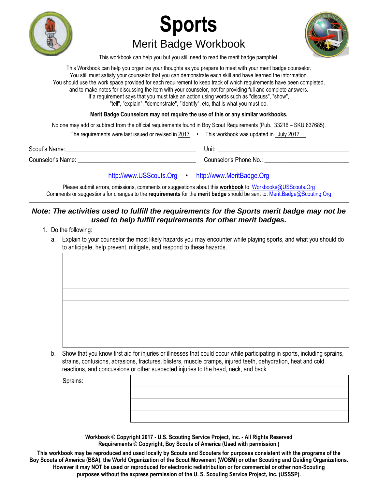





This workbook can help you but you still need to read the merit badge pamphlet.

This Workbook can help you organize your thoughts as you prepare to meet with your merit badge counselor. You still must satisfy your counselor that you can demonstrate each skill and have learned the information. You should use the work space provided for each requirement to keep track of which requirements have been completed, and to make notes for discussing the item with your counselor, not for providing full and complete answers. If a requirement says that you must take an action using words such as "discuss", "show", "tell", "explain", "demonstrate", "identify", etc, that is what you must do.

**Merit Badge Counselors may not require the use of this or any similar workbooks.**

No one may add or subtract from the official requirements found in Boy Scout Requirements (Pub. 33216 – SKU 637685).

|                   | The requirements were last issued or revised in 2017 | This workbook was updated in July 2017. |
|-------------------|------------------------------------------------------|-----------------------------------------|
| Scout's Name:     |                                                      | Unit:                                   |
| Counselor's Name: |                                                      | Counselor's Phone No.:                  |

[http://www.USScouts.Org](http://www.usscouts.org/) • [http://www.MeritBadge.Org](http://www.meritbadge.org/)

Please submit errors, omissions, comments or suggestions about this **workbook** to: [Workbooks@USScouts.Org](mailto:Workbooks@usscouts.org?subject=Merit%20Badge%20Workbooks) Comments or suggestions for changes to the **requirements** for the **merit badge** should be sent to: [Merit.Badge@Scouting.Org](mailto:merit.badge@scouting.org) *\_\_\_\_\_\_\_\_\_\_\_\_\_\_\_\_\_\_\_\_\_\_\_\_\_\_\_\_\_\_\_\_\_\_\_\_\_\_\_\_\_\_\_\_\_\_\_\_\_\_\_\_\_\_\_\_\_\_\_\_\_\_\_\_\_\_\_\_\_\_\_\_\_\_\_\_\_\_\_\_\_\_\_\_\_\_\_\_\_\_\_\_\_\_\_\_\_\_\_\_\_\_\_\_\_\_\_\_\_\_\_\_\_\_\_\_\_\_\_\_\_\_\_\_\_\_\_\_\_\_\_\_\_\_\_\_\_\_\_\_\_\_* 

## *Note: The activities used to fulfill the requirements for the Sports merit badge may not be used to help fulfill requirements for other merit badges.*

- 1. Do the following:
	- a. Explain to your counselor the most likely hazards you may encounter while playing sports, and what you should do to anticipate, help prevent, mitigate, and respond to these hazards.

b. Show that you know first aid for injuries or illnesses that could occur while participating in sports, including sprains, strains, contusions, abrasions, fractures, blisters, muscle cramps, injured teeth, dehydration, heat and cold reactions, and concussions or other suspected injuries to the head, neck, and back.

Sprains:

**Workbook © Copyright 2017 - U.S. Scouting Service Project, Inc. - All Rights Reserved Requirements © Copyright, Boy Scouts of America (Used with permission.)** 

**This workbook may be reproduced and used locally by Scouts and Scouters for purposes consistent with the programs of the Boy Scouts of America (BSA), the World Organization of the Scout Movement (WOSM) or other Scouting and Guiding Organizations. However it may NOT be used or reproduced for electronic redistribution or for commercial or other non-Scouting purposes without the express permission of the U. S. Scouting Service Project, Inc. (USSSP).**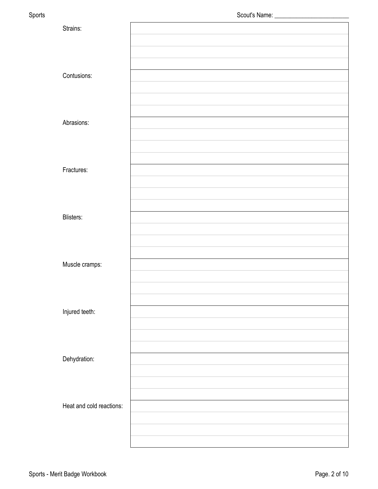| Sports |                          |  |
|--------|--------------------------|--|
|        | Strains:                 |  |
|        |                          |  |
|        |                          |  |
|        |                          |  |
|        | Contusions:              |  |
|        |                          |  |
|        |                          |  |
|        | Abrasions:               |  |
|        |                          |  |
|        |                          |  |
|        |                          |  |
|        | Fractures:               |  |
|        |                          |  |
|        |                          |  |
|        |                          |  |
|        | Blisters:                |  |
|        |                          |  |
|        |                          |  |
|        |                          |  |
|        | Muscle cramps:           |  |
|        |                          |  |
|        |                          |  |
|        | Injured teeth:           |  |
|        |                          |  |
|        |                          |  |
|        |                          |  |
|        | Dehydration:             |  |
|        |                          |  |
|        |                          |  |
|        |                          |  |
|        | Heat and cold reactions: |  |
|        |                          |  |
|        |                          |  |
|        |                          |  |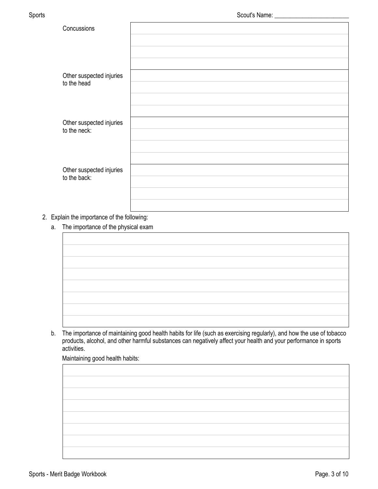| Concussions              |  |
|--------------------------|--|
|                          |  |
|                          |  |
|                          |  |
| Other suspected injuries |  |
| to the head              |  |
|                          |  |
|                          |  |
| Other suspected injuries |  |
| to the neck:             |  |
|                          |  |
|                          |  |
| Other suspected injuries |  |
| to the back:             |  |
|                          |  |
|                          |  |

### 2. Explain the importance of the following:

- a. The importance of the physical exam
- b. The importance of maintaining good health habits for life (such as exercising regularly), and how the use of tobacco products, alcohol, and other harmful substances can negatively affect your health and your performance in sports

Maintaining good health habits:

activities.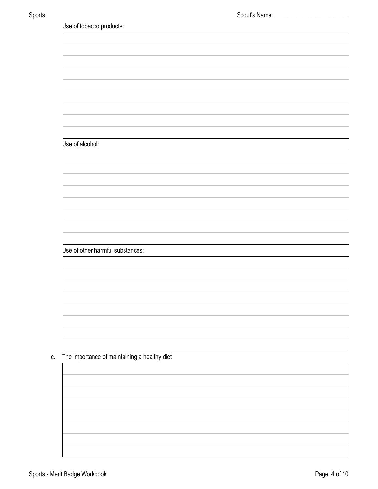| Use of alcohol: |                                  |  |  |
|-----------------|----------------------------------|--|--|
|                 |                                  |  |  |
|                 |                                  |  |  |
|                 |                                  |  |  |
|                 |                                  |  |  |
|                 |                                  |  |  |
|                 |                                  |  |  |
|                 |                                  |  |  |
|                 |                                  |  |  |
|                 |                                  |  |  |
|                 |                                  |  |  |
|                 | Use of other harmful substances: |  |  |
|                 |                                  |  |  |
|                 |                                  |  |  |
|                 |                                  |  |  |
|                 |                                  |  |  |
|                 |                                  |  |  |
|                 |                                  |  |  |
|                 |                                  |  |  |
|                 |                                  |  |  |
|                 |                                  |  |  |
|                 |                                  |  |  |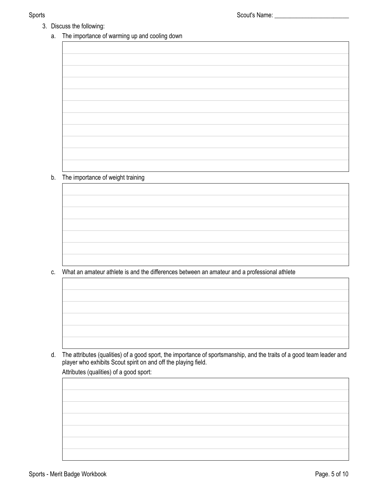- 3. Discuss the following:
	- a. The importance of warming up and cooling down

b. The importance of weight training

c. What an amateur athlete is and the differences between an amateur and a professional athlete

d. The attributes (qualities) of a good sport, the importance of sportsmanship, and the traits of a good team leader and player who exhibits Scout spirit on and off the playing field. Attributes (qualities) of a good sport: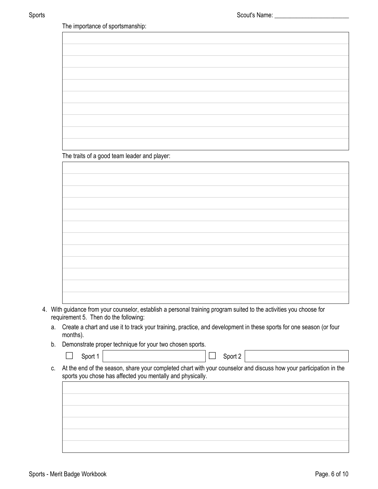The importance of sportsmanship:

The traits of a good team leader and player:

4. With guidance from your counselor, establish a personal training program suited to the activities you choose for requirement 5. Then do the following:

- a. Create a chart and use it to track your training, practice, and development in these sports for one season (or four months).
- b. Demonstrate proper technique for your two chosen sports.

| $\Box$ Sport 1 |  |  | $\Box$ Sport 2 |
|----------------|--|--|----------------|
|----------------|--|--|----------------|

c. At the end of the season, share your completed chart with your counselor and discuss how your participation in the sports you chose has affected you mentally and physically.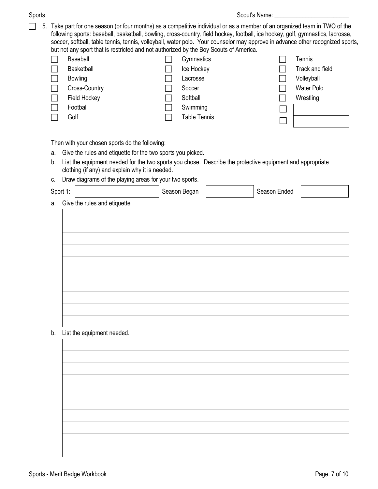5. Take part for one season (or four months) as a competitive individual or as a member of an organized team in TWO of the following sports: baseball, basketball, bowling, cross-country, field hockey, football, ice hockey, golf, gymnastics, lacrosse, soccer, softball, table tennis, tennis, volleyball, water polo. Your counselor may approve in advance other recognized sports, but not any sport that is restricted and not authorized by the Boy Scouts of America.

| Baseball       | Gymnastics          | Tennis          |
|----------------|---------------------|-----------------|
| Basketball     | Ice Hockey          | Track and field |
| <b>Bowling</b> | Lacrosse            | Volleyball      |
| Cross-Country  | Soccer              | Water Polo      |
| Field Hockey   | Softball            | Wrestling       |
| Football       | Swimming            |                 |
| Golf           | <b>Table Tennis</b> |                 |
|                |                     |                 |

Then with your chosen sports do the following:

- a. Give the rules and etiquette for the two sports you picked.
- b. List the equipment needed for the two sports you chose. Describe the protective equipment and appropriate clothing (if any) and explain why it is needed.
- c. Draw diagrams of the playing areas for your two sports.

| Sport 1: |                               | Season Began | Season Ended |  |
|----------|-------------------------------|--------------|--------------|--|
| a.       | Give the rules and etiquette  |              |              |  |
|          |                               |              |              |  |
|          |                               |              |              |  |
|          |                               |              |              |  |
|          |                               |              |              |  |
|          |                               |              |              |  |
|          |                               |              |              |  |
|          |                               |              |              |  |
|          |                               |              |              |  |
|          |                               |              |              |  |
|          |                               |              |              |  |
|          | b. List the equipment needed. |              |              |  |

b. List the equipment needed.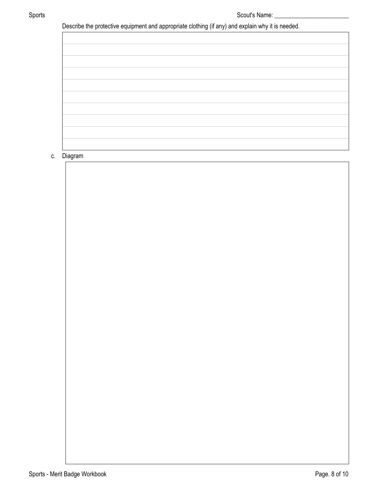Describe the protective equipment and appropriate clothing (if any) and explain why it is needed.

# c. Diagram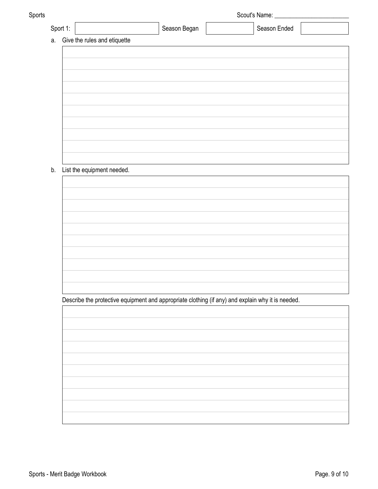| Sports |                                 |                            |  |              | Scout's Name:                                                                                     |  |  |  |
|--------|---------------------------------|----------------------------|--|--------------|---------------------------------------------------------------------------------------------------|--|--|--|
|        | Sport 1:                        |                            |  | Season Began | Season Ended                                                                                      |  |  |  |
|        | a. Give the rules and etiquette |                            |  |              |                                                                                                   |  |  |  |
|        |                                 |                            |  |              |                                                                                                   |  |  |  |
|        |                                 |                            |  |              |                                                                                                   |  |  |  |
|        |                                 |                            |  |              |                                                                                                   |  |  |  |
|        |                                 |                            |  |              |                                                                                                   |  |  |  |
|        |                                 |                            |  |              |                                                                                                   |  |  |  |
|        |                                 |                            |  |              |                                                                                                   |  |  |  |
|        |                                 |                            |  |              |                                                                                                   |  |  |  |
|        |                                 |                            |  |              |                                                                                                   |  |  |  |
|        |                                 |                            |  |              |                                                                                                   |  |  |  |
|        |                                 |                            |  |              |                                                                                                   |  |  |  |
| b.     |                                 | List the equipment needed. |  |              |                                                                                                   |  |  |  |
|        |                                 |                            |  |              |                                                                                                   |  |  |  |
|        |                                 |                            |  |              |                                                                                                   |  |  |  |
|        |                                 |                            |  |              |                                                                                                   |  |  |  |
|        |                                 |                            |  |              |                                                                                                   |  |  |  |
|        |                                 |                            |  |              |                                                                                                   |  |  |  |
|        |                                 |                            |  |              |                                                                                                   |  |  |  |
|        |                                 |                            |  |              |                                                                                                   |  |  |  |
|        |                                 |                            |  |              |                                                                                                   |  |  |  |
|        |                                 |                            |  |              |                                                                                                   |  |  |  |
|        |                                 |                            |  |              |                                                                                                   |  |  |  |
|        |                                 |                            |  |              |                                                                                                   |  |  |  |
|        |                                 |                            |  |              | Describe the protective equipment and appropriate clothing (if any) and explain why it is needed. |  |  |  |
|        |                                 |                            |  |              |                                                                                                   |  |  |  |
|        |                                 |                            |  |              |                                                                                                   |  |  |  |
|        |                                 |                            |  |              |                                                                                                   |  |  |  |
|        |                                 |                            |  |              |                                                                                                   |  |  |  |
|        |                                 |                            |  |              |                                                                                                   |  |  |  |
|        |                                 |                            |  |              |                                                                                                   |  |  |  |
|        |                                 |                            |  |              |                                                                                                   |  |  |  |
|        |                                 |                            |  |              |                                                                                                   |  |  |  |
|        |                                 |                            |  |              |                                                                                                   |  |  |  |
|        |                                 |                            |  |              |                                                                                                   |  |  |  |